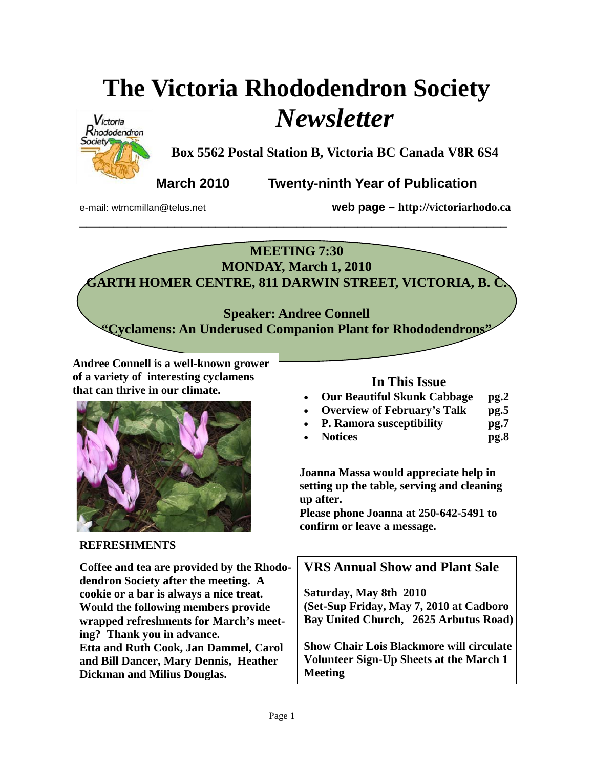# **The Victoria Rhododendron Society**  *Newsletter*



**Box 5562 Postal Station B, Victoria BC Canada V8R 6S4** 

**March 2010 Twenty-ninth Year of Publication** 

e-mail: wtmcmillan@telus.net **web page – http://victoriarhodo.ca**

#### **MEETING 7:30 MONDAY, March 1, 2010**

**\_\_\_\_\_\_\_\_\_\_\_\_\_\_\_\_\_\_\_\_\_\_\_\_\_\_\_\_\_\_\_\_\_\_\_\_\_\_\_\_\_\_\_\_\_\_\_\_\_\_\_\_\_\_\_\_\_\_\_\_\_\_\_** 

**GARTH HOMER CENTRE, 811 DARWIN STREET, VICTORIA, B. C.** 

**Speaker: Andree Connell "Cyclamens: An Underused Companion Plant for Rhododendrons"** 

**Andree Connell is a well-known grower of a variety of interesting cyclamens that can thrive in our climate.** 



#### **REFRESHMENTS**

**Coffee and tea are provided by the Rhododendron Society after the meeting. A cookie or a bar is always a nice treat. Would the following members provide wrapped refreshments for March's meeting? Thank you in advance. Etta and Ruth Cook, Jan Dammel, Carol and Bill Dancer, Mary Dennis, Heather Dickman and Milius Douglas.** 

#### **In This Issue**

- **Our Beautiful Skunk Cabbage pg.2**
- **Overview of February's Talk pg.5**
- **P. Ramora susceptibility pg.7**
- **Notices pg.8**

**Joanna Massa would appreciate help in setting up the table, serving and cleaning up after.** 

**Please phone Joanna at 250-642-5491 to confirm or leave a message.**

### **VRS Annual Show and Plant Sale**

**Saturday, May 8th 2010 (Set-Sup Friday, May 7, 2010 at Cadboro Bay United Church, 2625 Arbutus Road)** 

**Show Chair Lois Blackmore will circulate Volunteer Sign-Up Sheets at the March 1 Meeting**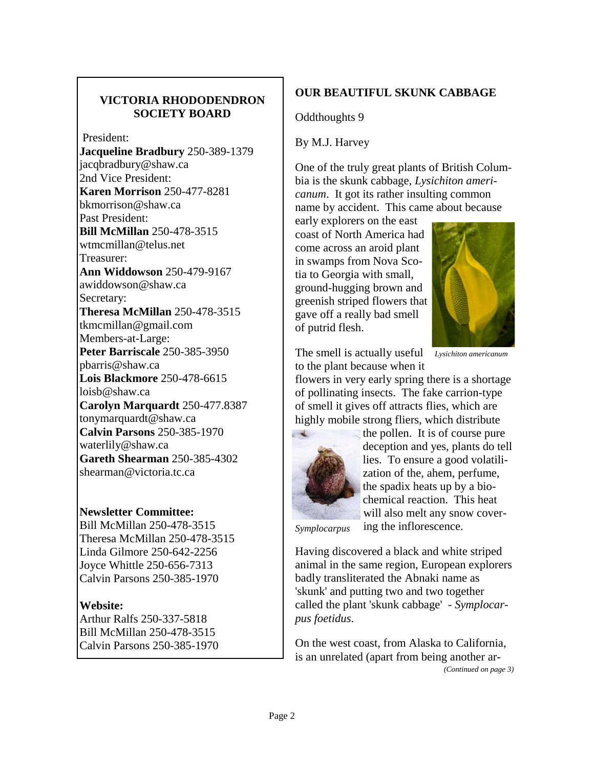#### **VICTORIA RHODODENDRON SOCIETY BOARD**

President:

**Jacqueline Bradbury** 250-389-1379 jacqbradbury@shaw.ca 2nd Vice President: **Karen Morrison** 250-477-8281 bkmorrison@shaw.ca Past President: **Bill McMillan** 250-478-3515 wtmcmillan@telus.net Treasurer: **Ann Widdowson** 250-479-9167 awiddowson@shaw.ca Secretary: **Theresa McMillan** 250-478-3515 tkmcmillan@gmail.com Members-at-Large: **Peter Barriscale** 250-385-3950 pbarris@shaw.ca **Lois Blackmore** 250-478-6615 loisb@shaw.ca **Carolyn Marquardt** 250-477.8387 tonymarquardt@shaw.ca **Calvin Parsons** 250-385-1970 waterlily@shaw.ca **Gareth Shearman** 250-385-4302 shearman@victoria.tc.ca

#### **Newsletter Committee:**

Bill McMillan 250-478-3515 Theresa McMillan 250-478-3515 Linda Gilmore 250-642-2256 Joyce Whittle 250-656-7313 Calvin Parsons 250-385-1970

#### **Website:**

Arthur Ralfs 250-337-5818 Bill McMillan 250-478-3515 Calvin Parsons 250-385-1970

#### **OUR BEAUTIFUL SKUNK CABBAGE**

Oddthoughts 9

By M.J. Harvey

One of the truly great plants of British Columbia is the skunk cabbage, *Lysichiton americanum*. It got its rather insulting common name by accident. This came about because

early explorers on the east coast of North America had come across an aroid plant in swamps from Nova Scotia to Georgia with small, ground-hugging brown and greenish striped flowers that gave off a really bad smell of putrid flesh.



The smell is actually useful *Lysichiton americanum*  to the plant because when it

flowers in very early spring there is a shortage of pollinating insects. The fake carrion-type of smell it gives off attracts flies, which are highly mobile strong fliers, which distribute



the pollen. It is of course pure deception and yes, plants do tell lies. To ensure a good volatilization of the, ahem, perfume, the spadix heats up by a biochemical reaction. This heat will also melt any snow covering the inflorescence.

*Symplocarpus* 

Having discovered a black and white striped animal in the same region, European explorers badly transliterated the Abnaki name as 'skunk' and putting two and two together called the plant 'skunk cabbage' - *Symplocarpus foetidus*.

On the west coast, from Alaska to California, is an unrelated (apart from being another ar- *(Continued on page 3)*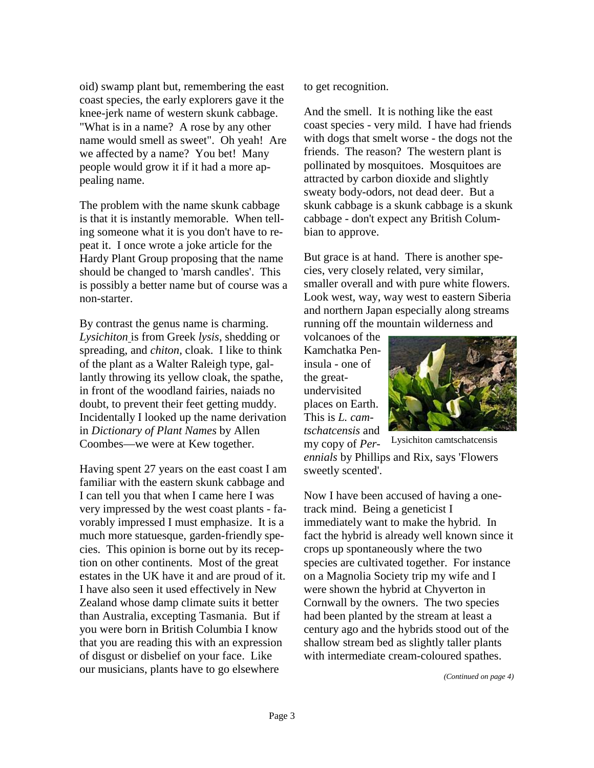oid) swamp plant but, remembering the east coast species, the early explorers gave it the knee-jerk name of western skunk cabbage. "What is in a name? A rose by any other name would smell as sweet". Oh yeah! Are we affected by a name? You bet! Many people would grow it if it had a more appealing name.

The problem with the name skunk cabbage is that it is instantly memorable. When telling someone what it is you don't have to repeat it. I once wrote a joke article for the Hardy Plant Group proposing that the name should be changed to 'marsh candles'. This is possibly a better name but of course was a non-starter.

By contrast the genus name is charming. *Lysichiton* is from Greek *lysis*, shedding or spreading, and *chiton*, cloak. I like to think of the plant as a Walter Raleigh type, gallantly throwing its yellow cloak, the spathe, in front of the woodland fairies, naiads no doubt, to prevent their feet getting muddy. Incidentally I looked up the name derivation in *Dictionary of Plant Names* by Allen Coombes—we were at Kew together.

Having spent 27 years on the east coast I am familiar with the eastern skunk cabbage and I can tell you that when I came here I was very impressed by the west coast plants - favorably impressed I must emphasize. It is a much more statuesque, garden-friendly species. This opinion is borne out by its reception on other continents. Most of the great estates in the UK have it and are proud of it. I have also seen it used effectively in New Zealand whose damp climate suits it better than Australia, excepting Tasmania. But if you were born in British Columbia I know that you are reading this with an expression of disgust or disbelief on your face. Like our musicians, plants have to go elsewhere

to get recognition.

And the smell. It is nothing like the east coast species - very mild. I have had friends with dogs that smelt worse - the dogs not the friends. The reason? The western plant is pollinated by mosquitoes. Mosquitoes are attracted by carbon dioxide and slightly sweaty body-odors, not dead deer. But a skunk cabbage is a skunk cabbage is a skunk cabbage - don't expect any British Columbian to approve.

But grace is at hand. There is another species, very closely related, very similar, smaller overall and with pure white flowers. Look west, way, way west to eastern Siberia and northern Japan especially along streams running off the mountain wilderness and

volcanoes of the Kamchatka Peninsula - one of the greatundervisited places on Earth. This is *L. camtschatcensis* and



my copy of *Perennials* by Phillips and Rix, says 'Flowers sweetly scented'. Lysichiton camtschatcensis

Now I have been accused of having a onetrack mind. Being a geneticist I immediately want to make the hybrid. In fact the hybrid is already well known since it crops up spontaneously where the two species are cultivated together. For instance on a Magnolia Society trip my wife and I were shown the hybrid at Chyverton in Cornwall by the owners. The two species had been planted by the stream at least a century ago and the hybrids stood out of the shallow stream bed as slightly taller plants with intermediate cream-coloured spathes.

*(Continued on page 4)*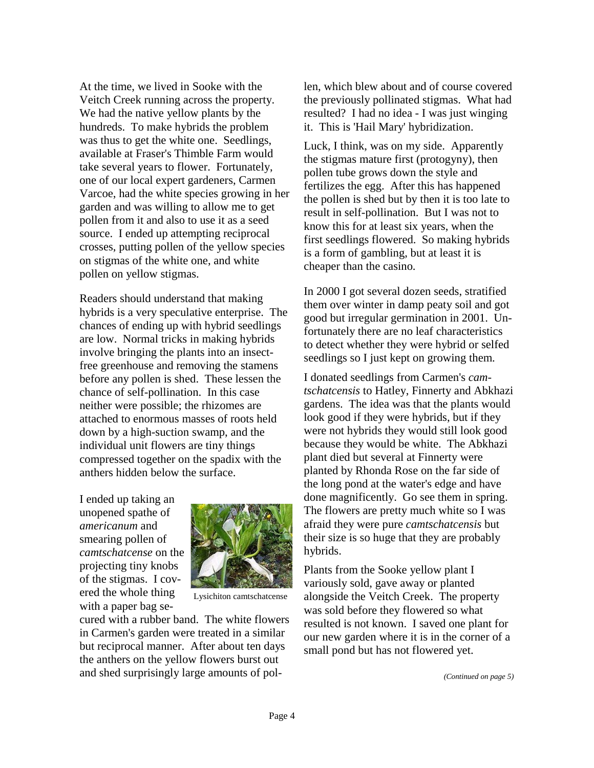At the time, we lived in Sooke with the Veitch Creek running across the property. We had the native yellow plants by the hundreds. To make hybrids the problem was thus to get the white one. Seedlings, available at Fraser's Thimble Farm would take several years to flower. Fortunately, one of our local expert gardeners, Carmen Varcoe, had the white species growing in her garden and was willing to allow me to get pollen from it and also to use it as a seed source. I ended up attempting reciprocal crosses, putting pollen of the yellow species on stigmas of the white one, and white pollen on yellow stigmas.

Readers should understand that making hybrids is a very speculative enterprise. The chances of ending up with hybrid seedlings are low. Normal tricks in making hybrids involve bringing the plants into an insectfree greenhouse and removing the stamens before any pollen is shed. These lessen the chance of self-pollination. In this case neither were possible; the rhizomes are attached to enormous masses of roots held down by a high-suction swamp, and the individual unit flowers are tiny things compressed together on the spadix with the anthers hidden below the surface.

I ended up taking an unopened spathe of *americanum* and smearing pollen of *camtschatcense* on the projecting tiny knobs of the stigmas. I covered the whole thing with a paper bag se-



Lysichiton camtschatcense

cured with a rubber band. The white flowers in Carmen's garden were treated in a similar but reciprocal manner. After about ten days the anthers on the yellow flowers burst out and shed surprisingly large amounts of pollen, which blew about and of course covered the previously pollinated stigmas. What had resulted? I had no idea - I was just winging it. This is 'Hail Mary' hybridization.

Luck, I think, was on my side. Apparently the stigmas mature first (protogyny), then pollen tube grows down the style and fertilizes the egg. After this has happened the pollen is shed but by then it is too late to result in self-pollination. But I was not to know this for at least six years, when the first seedlings flowered. So making hybrids is a form of gambling, but at least it is cheaper than the casino.

In 2000 I got several dozen seeds, stratified them over winter in damp peaty soil and got good but irregular germination in 2001. Unfortunately there are no leaf characteristics to detect whether they were hybrid or selfed seedlings so I just kept on growing them.

I donated seedlings from Carmen's *camtschatcensis* to Hatley, Finnerty and Abkhazi gardens. The idea was that the plants would look good if they were hybrids, but if they were not hybrids they would still look good because they would be white. The Abkhazi plant died but several at Finnerty were planted by Rhonda Rose on the far side of the long pond at the water's edge and have done magnificently. Go see them in spring. The flowers are pretty much white so I was afraid they were pure *camtschatcensis* but their size is so huge that they are probably hybrids.

Plants from the Sooke yellow plant I variously sold, gave away or planted alongside the Veitch Creek. The property was sold before they flowered so what resulted is not known. I saved one plant for our new garden where it is in the corner of a small pond but has not flowered yet.

*(Continued on page 5)*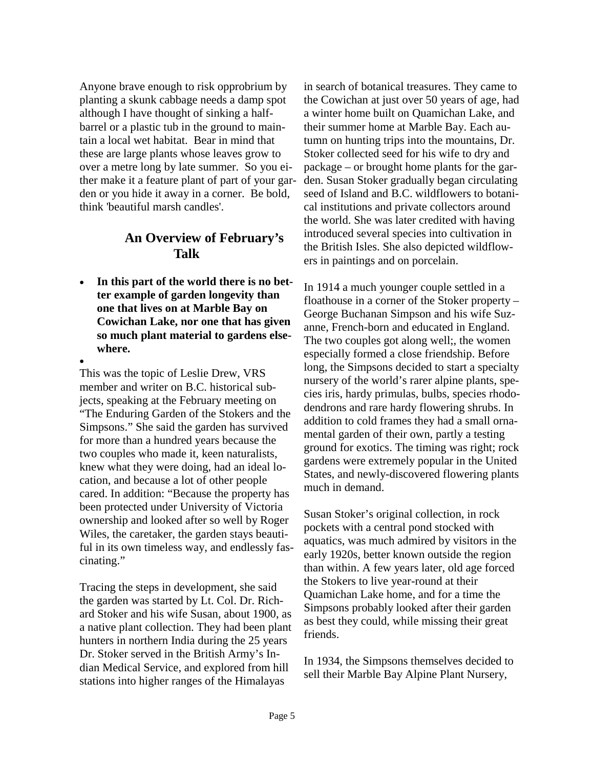Anyone brave enough to risk opprobrium by planting a skunk cabbage needs a damp spot although I have thought of sinking a halfbarrel or a plastic tub in the ground to maintain a local wet habitat. Bear in mind that these are large plants whose leaves grow to over a metre long by late summer. So you either make it a feature plant of part of your garden or you hide it away in a corner. Be bold, think 'beautiful marsh candles'.

#### **An Overview of February's Talk**

In this part of the world there is no bet**ter example of garden longevity than one that lives on at Marble Bay on Cowichan Lake, nor one that has given so much plant material to gardens elsewhere.** 

• This was the topic of Leslie Drew, VRS member and writer on B.C. historical subjects, speaking at the February meeting on "The Enduring Garden of the Stokers and the Simpsons." She said the garden has survived for more than a hundred years because the two couples who made it, keen naturalists, knew what they were doing, had an ideal location, and because a lot of other people cared. In addition: "Because the property has been protected under University of Victoria ownership and looked after so well by Roger Wiles, the caretaker, the garden stays beautiful in its own timeless way, and endlessly fascinating."

Tracing the steps in development, she said the garden was started by Lt. Col. Dr. Richard Stoker and his wife Susan, about 1900, as a native plant collection. They had been plant hunters in northern India during the 25 years Dr. Stoker served in the British Army's Indian Medical Service, and explored from hill stations into higher ranges of the Himalayas

in search of botanical treasures. They came to the Cowichan at just over 50 years of age, had a winter home built on Quamichan Lake, and their summer home at Marble Bay. Each autumn on hunting trips into the mountains, Dr. Stoker collected seed for his wife to dry and package – or brought home plants for the garden. Susan Stoker gradually began circulating seed of Island and B.C. wildflowers to botanical institutions and private collectors around the world. She was later credited with having introduced several species into cultivation in the British Isles. She also depicted wildflowers in paintings and on porcelain.

In 1914 a much younger couple settled in a floathouse in a corner of the Stoker property – George Buchanan Simpson and his wife Suzanne, French-born and educated in England. The two couples got along well;, the women especially formed a close friendship. Before long, the Simpsons decided to start a specialty nursery of the world's rarer alpine plants, species iris, hardy primulas, bulbs, species rhododendrons and rare hardy flowering shrubs. In addition to cold frames they had a small ornamental garden of their own, partly a testing ground for exotics. The timing was right; rock gardens were extremely popular in the United States, and newly-discovered flowering plants much in demand.

Susan Stoker's original collection, in rock pockets with a central pond stocked with aquatics, was much admired by visitors in the early 1920s, better known outside the region than within. A few years later, old age forced the Stokers to live year-round at their Quamichan Lake home, and for a time the Simpsons probably looked after their garden as best they could, while missing their great friends.

In 1934, the Simpsons themselves decided to sell their Marble Bay Alpine Plant Nursery,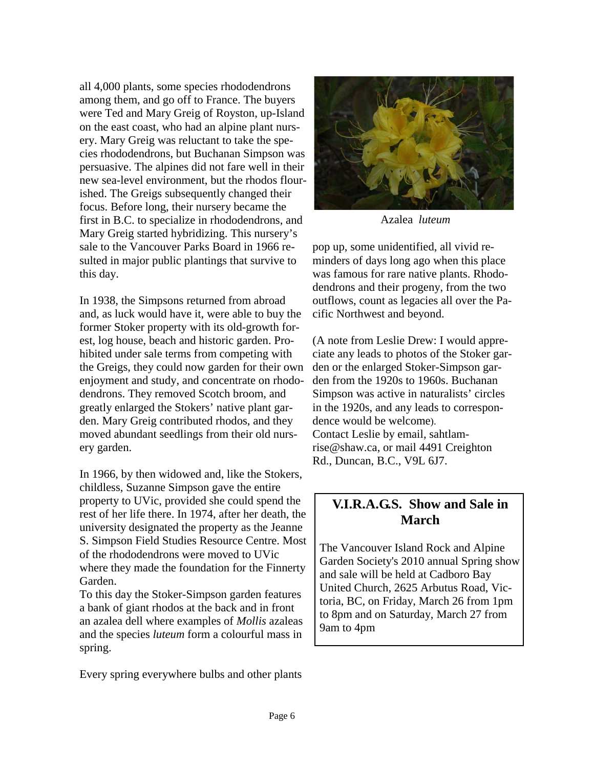all 4,000 plants, some species rhododendrons among them, and go off to France. The buyers were Ted and Mary Greig of Royston, up-Island on the east coast, who had an alpine plant nursery. Mary Greig was reluctant to take the species rhododendrons, but Buchanan Simpson was persuasive. The alpines did not fare well in their new sea-level environment, but the rhodos flourished. The Greigs subsequently changed their focus. Before long, their nursery became the first in B.C. to specialize in rhododendrons, and Mary Greig started hybridizing. This nursery's sale to the Vancouver Parks Board in 1966 resulted in major public plantings that survive to this day.

In 1938, the Simpsons returned from abroad and, as luck would have it, were able to buy the former Stoker property with its old-growth forest, log house, beach and historic garden. Prohibited under sale terms from competing with the Greigs, they could now garden for their own enjoyment and study, and concentrate on rhododendrons. They removed Scotch broom, and greatly enlarged the Stokers' native plant garden. Mary Greig contributed rhodos, and they moved abundant seedlings from their old nursery garden.

In 1966, by then widowed and, like the Stokers, childless, Suzanne Simpson gave the entire property to UVic, provided she could spend the rest of her life there. In 1974, after her death, the university designated the property as the Jeanne S. Simpson Field Studies Resource Centre. Most of the rhododendrons were moved to UVic where they made the foundation for the Finnerty Garden.

To this day the Stoker-Simpson garden features a bank of giant rhodos at the back and in front an azalea dell where examples of *Mollis* azaleas and the species *luteum* form a colourful mass in spring.



ciate any leads to photos of the Stoker garden or the enlarged Stoker-Simpson garden from the 1920s to 1960s. Buchanan Simpson was active in naturalists' circles in the 1920s, and any leads to correspondence would be welcome). Contact Leslie by email, sahtlamrise@shaw.ca, or mail 4491 Creighton Rd., Duncan, B.C., V9L 6J7.

### **V.I.R.A.G.S. Show and Sale in March**

The Vancouver Island Rock and Alpine Garden Society's 2010 annual Spring show and sale will be held at Cadboro Bay United Church, 2625 Arbutus Road, Victoria, BC, on Friday, March 26 from 1pm to 8pm and on Saturday, March 27 from 9am to 4pm

Every spring everywhere bulbs and other plants



Azalea *luteum*

pop up, some unidentified, all vivid reminders of days long ago when this place was famous for rare native plants. Rhodo-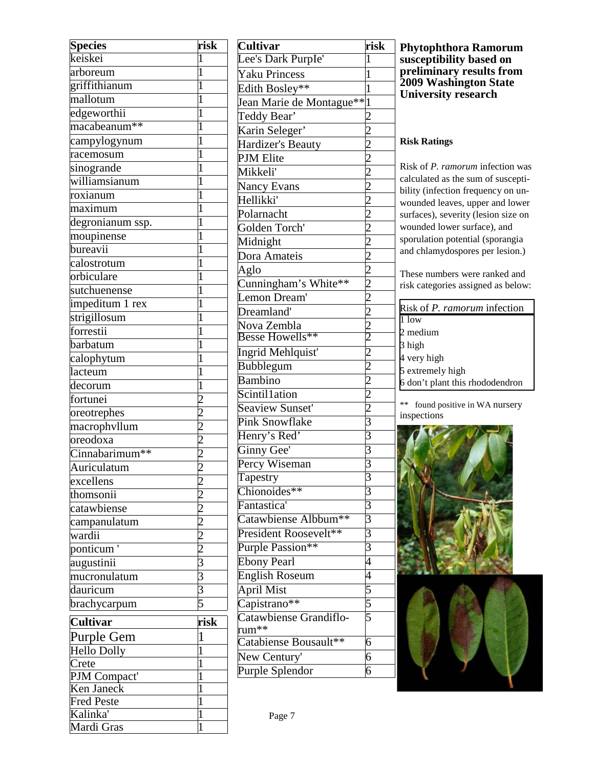| <b>Species</b>              | risk           |
|-----------------------------|----------------|
| keiskei                     | $\mathbf{1}$   |
| arboreum                    | $\overline{1}$ |
| griffithianum               | $\overline{1}$ |
| mallotum                    | $\overline{1}$ |
| edgeworthii                 | $\overline{1}$ |
| macabeanum <sup>**</sup>    | $\overline{1}$ |
| campylogynum                | $\overline{1}$ |
| racemosum                   | $\overline{1}$ |
| sinogrande                  | $\overline{1}$ |
| williamsianum               | $\overline{1}$ |
| roxianum                    | $\overline{1}$ |
| maximum                     | $\overline{1}$ |
| degronianum ssp.            | $\overline{1}$ |
| moupinense                  | $\overline{1}$ |
| $b$ ureavii                 | $\overline{1}$ |
| calostrotum                 | $\overline{1}$ |
| orbiculare                  | $\overline{1}$ |
| sutchuenense                | $\overline{1}$ |
| impeditum 1 rex             | $\overline{1}$ |
| strigillosum                | $\overline{1}$ |
| forrestii                   | $\overline{1}$ |
| barbatum                    | $\overline{1}$ |
| calophytum                  | $\mathbf{1}$   |
| lacteum                     | $\overline{1}$ |
| $\overline{\text{decorum}}$ | $\overline{1}$ |
| fortunei                    | $\overline{2}$ |
| oreotrephes                 | $\overline{2}$ |
| macrophyllum                | $\overline{2}$ |
| oreodoxa                    |                |
| Cinnabarimum**              | $\frac{2}{2}$  |
| Auriculatum                 | $\overline{2}$ |
| excellens                   | 2              |
| thomsonii                   | 2              |
| catawbiense                 | $\overline{c}$ |
| campanulatum                | $\overline{2}$ |
| wardii                      | $\overline{c}$ |
| ponticum <sup>'</sup>       | $\overline{2}$ |
| augustinii                  | 3              |
| mucronulatum                | 3              |
| dauricum                    | $\frac{3}{5}$  |
| brachycarpum                | $\overline{5}$ |
| <b>Cultivar</b>             | risk           |
| Purple Gem                  | 1              |
| Hello Dolly                 | $\mathbf{1}$   |
| Crete                       | $\mathbf{1}$   |
| PJM Compact'                | 1              |
| Ken Janeck                  | $\overline{1}$ |
| <b>Fred Peste</b>           | $\mathbf{1}$   |
| Kalinka'                    | $\mathbf 1$    |
| Mardi Gras                  | 1              |

| <b>Cultivar</b>                 | risk                                                    |
|---------------------------------|---------------------------------------------------------|
| Lee's Dark Purple'              | $\mathbf{1}$                                            |
| Yaku Princess                   | $\mathbf{1}$                                            |
| Edith Bosley**                  | $\mathbf{1}$                                            |
| Jean Marie de Montague** 1      |                                                         |
| Teddy Bear'                     | $\frac{2}{\sqrt{2}}$                                    |
| Karin Seleger'                  | $\overline{2}$                                          |
| Hardizer's Beauty               |                                                         |
| PJM Elite                       |                                                         |
| Mikkeli'                        | $\frac{2}{2}$                                           |
| Nancy Evans                     |                                                         |
| Hellikki'                       | $\overline{2}$                                          |
| Polarnacht                      |                                                         |
| Golden Torch'                   |                                                         |
| Midnight                        |                                                         |
| Dora Amateis                    | $\frac{2}{2}$ $\frac{2}{2}$ $\frac{2}{2}$               |
| Aglo                            |                                                         |
| Cunningham's White**            |                                                         |
| Lemon Dream'                    | $\frac{2}{2}$ $\frac{2}{2}$                             |
| Dreamland'                      |                                                         |
| Nova Zembla<br>Besse Howells**  |                                                         |
|                                 |                                                         |
| Ingrid Mehlquist'               |                                                         |
| <b>Bubblegum</b>                | $\frac{2}{2}$ $\frac{2}{2}$ $\frac{2}{3}$ $\frac{2}{3}$ |
| <b>Bambino</b>                  |                                                         |
| Scintil1ation                   |                                                         |
| Seaview Sunset'                 |                                                         |
| <b>Pink Snowflake</b>           |                                                         |
| Henry's Red'                    |                                                         |
| Ginny Gee'                      | $rac{1}{3}$                                             |
| Percy Wiseman                   |                                                         |
| Tapestry                        | 3                                                       |
| Chionoides**                    | $\overline{3}$                                          |
| Fantastica'                     | $\overline{3}$                                          |
| Catawbiense Albbum**            | $rac{3}{3}$                                             |
| President Roosevelt**           |                                                         |
| Purple Passion**                | $\overline{3}$                                          |
| <b>Ebony Pearl</b>              | $\overline{4}$                                          |
| <b>English Roseum</b>           | $\overline{4}$                                          |
| <b>April Mist</b>               | $\frac{5}{5}$                                           |
| Capistrano**                    |                                                         |
| Catawbiense Grandiflo-<br>rum** |                                                         |
| Catabiense Bousault**           | $\overline{6}$                                          |
| New Century'                    | $\overline{6}$                                          |
| Purple Splendor                 | $\overline{6}$                                          |
|                                 |                                                         |

#### **Phytophthora Ramorum susceptibility based on preliminary results from 2009 Washington State University research**

#### **Risk Ratings**

Risk of *P. ramorum* infection was calculated as the sum of susceptibility (infection frequency on unwounded leaves, upper and lower surfaces), severity (lesion size on wounded lower surface), and sporulation potential (sporangia and chlamydospores per lesion.)

These numbers were ranked and risk categories assigned as below:

| Risk of P. ramorum infection    |
|---------------------------------|
| $\overline{1}$ low              |
| 2 medium                        |
| 3 high                          |
| 4 very high                     |
| 5 extremely high                |
| 6 don't plant this rhododendron |

\*\* found positive in WA nursery inspections